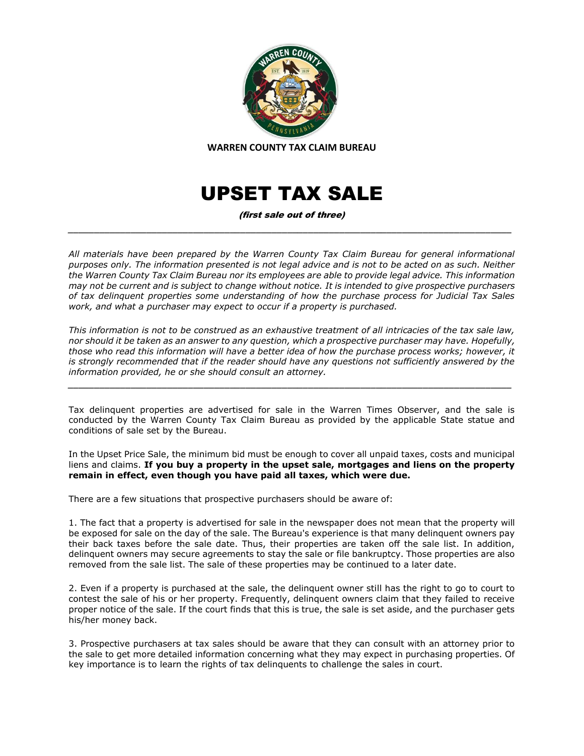

**WARREN COUNTY TAX CLAIM BUREAU**

## UPSET TAX SALE

(first sale out of three) *\_\_\_\_\_\_\_\_\_\_\_\_\_\_\_\_\_\_\_\_\_\_\_\_\_\_\_\_\_\_\_\_\_\_\_\_\_\_\_\_\_\_\_\_\_\_\_\_\_\_\_\_\_\_\_\_\_\_\_\_\_\_\_\_\_\_\_\_\_\_\_\_\_\_\_\_\_\_\_\_\_\_\_\_\_*

*All materials have been prepared by the Warren County Tax Claim Bureau for general informational purposes only. The information presented is not legal advice and is not to be acted on as such. Neither the Warren County Tax Claim Bureau nor its employees are able to provide legal advice. This information may not be current and is subject to change without notice. It is intended to give prospective purchasers of tax delinquent properties some understanding of how the purchase process for Judicial Tax Sales work, and what a purchaser may expect to occur if a property is purchased.*

*This information is not to be construed as an exhaustive treatment of all intricacies of the tax sale law, nor should it be taken as an answer to any question, which a prospective purchaser may have. Hopefully, those who read this information will have a better idea of how the purchase process works; however, it is strongly recommended that if the reader should have any questions not sufficiently answered by the information provided, he or she should consult an attorney.*

*\_\_\_\_\_\_\_\_\_\_\_\_\_\_\_\_\_\_\_\_\_\_\_\_\_\_\_\_\_\_\_\_\_\_\_\_\_\_\_\_\_\_\_\_\_\_\_\_\_\_\_\_\_\_\_\_\_\_\_\_\_\_\_\_\_\_\_\_\_\_\_\_\_\_\_\_\_\_\_\_\_\_\_\_\_*

Tax delinquent properties are advertised for sale in the Warren Times Observer, and the sale is conducted by the Warren County Tax Claim Bureau as provided by the applicable State statue and conditions of sale set by the Bureau.

In the Upset Price Sale, the minimum bid must be enough to cover all unpaid taxes, costs and municipal liens and claims. **If you buy a property in the upset sale, mortgages and liens on the property remain in effect, even though you have paid all taxes, which were due.**

There are a few situations that prospective purchasers should be aware of:

1. The fact that a property is advertised for sale in the newspaper does not mean that the property will be exposed for sale on the day of the sale. The Bureau's experience is that many delinquent owners pay their back taxes before the sale date. Thus, their properties are taken off the sale list. In addition, delinquent owners may secure agreements to stay the sale or file bankruptcy. Those properties are also removed from the sale list. The sale of these properties may be continued to a later date.

2. Even if a property is purchased at the sale, the delinquent owner still has the right to go to court to contest the sale of his or her property. Frequently, delinquent owners claim that they failed to receive proper notice of the sale. If the court finds that this is true, the sale is set aside, and the purchaser gets his/her money back.

3. Prospective purchasers at tax sales should be aware that they can consult with an attorney prior to the sale to get more detailed information concerning what they may expect in purchasing properties. Of key importance is to learn the rights of tax delinquents to challenge the sales in court.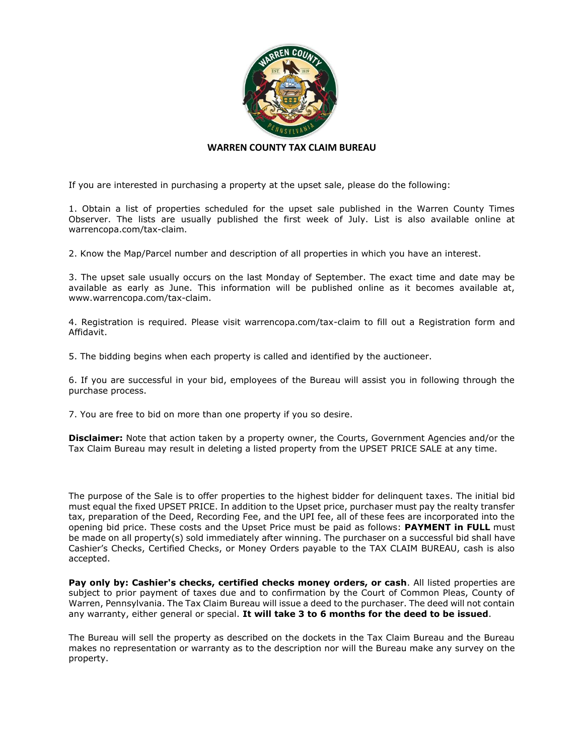

## **WARREN COUNTY TAX CLAIM BUREAU**

If you are interested in purchasing a property at the upset sale, please do the following:

1. Obtain a list of properties scheduled for the upset sale published in the Warren County Times Observer. The lists are usually published the first week of July. List is also available online at warrencopa.com/tax-claim.

2. Know the Map/Parcel number and description of all properties in which you have an interest.

3. The upset sale usually occurs on the last Monday of September. The exact time and date may be available as early as June. This information will be published online as it becomes available at, www.warrencopa.com/tax-claim.

4. Registration is required. Please visit warrencopa.com/tax-claim to fill out a Registration form and Affidavit.

5. The bidding begins when each property is called and identified by the auctioneer.

6. If you are successful in your bid, employees of the Bureau will assist you in following through the purchase process.

7. You are free to bid on more than one property if you so desire.

**Disclaimer:** Note that action taken by a property owner, the Courts, Government Agencies and/or the Tax Claim Bureau may result in deleting a listed property from the UPSET PRICE SALE at any time.

The purpose of the Sale is to offer properties to the highest bidder for delinquent taxes. The initial bid must equal the fixed UPSET PRICE. In addition to the Upset price, purchaser must pay the realty transfer tax, preparation of the Deed, Recording Fee, and the UPI fee, all of these fees are incorporated into the opening bid price. These costs and the Upset Price must be paid as follows: **PAYMENT in FULL** must be made on all property(s) sold immediately after winning. The purchaser on a successful bid shall have Cashier's Checks, Certified Checks, or Money Orders payable to the TAX CLAIM BUREAU, cash is also accepted.

**Pay only by: Cashier's checks, certified checks money orders, or cash**. All listed properties are subject to prior payment of taxes due and to confirmation by the Court of Common Pleas, County of Warren, Pennsylvania. The Tax Claim Bureau will issue a deed to the purchaser. The deed will not contain any warranty, either general or special. **It will take 3 to 6 months for the deed to be issued**.

The Bureau will sell the property as described on the dockets in the Tax Claim Bureau and the Bureau makes no representation or warranty as to the description nor will the Bureau make any survey on the property.